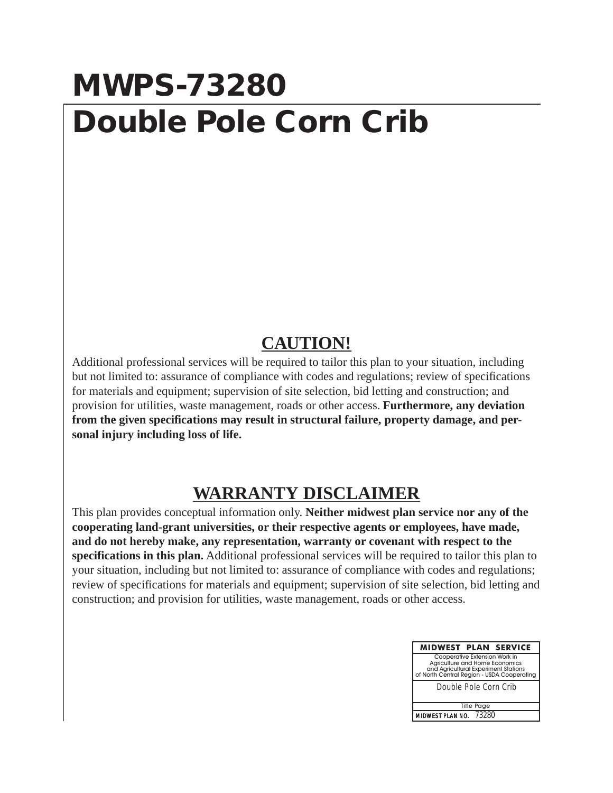## **MWPS-73280 Double Pole Corn Crib**

## **CAUTION!**

Additional professional services will be required to tailor this plan to your situation, including but not limited to: assurance of compliance with codes and regulations; review of specifications for materials and equipment; supervision of site selection, bid letting and construction; and provision for utilities, waste management, roads or other access. **Furthermore, any deviation from the given specifications may result in structural failure, property damage, and personal injury including loss of life.**

## **WARRANTY DISCLAIMER**

This plan provides conceptual information only. **Neither midwest plan service nor any of the cooperating land-grant universities, or their respective agents or employees, have made, and do not hereby make, any representation, warranty or covenant with respect to the specifications in this plan.** Additional professional services will be required to tailor this plan to your situation, including but not limited to: assurance of compliance with codes and regulations; review of specifications for materials and equipment; supervision of site selection, bid letting and construction; and provision for utilities, waste management, roads or other access.